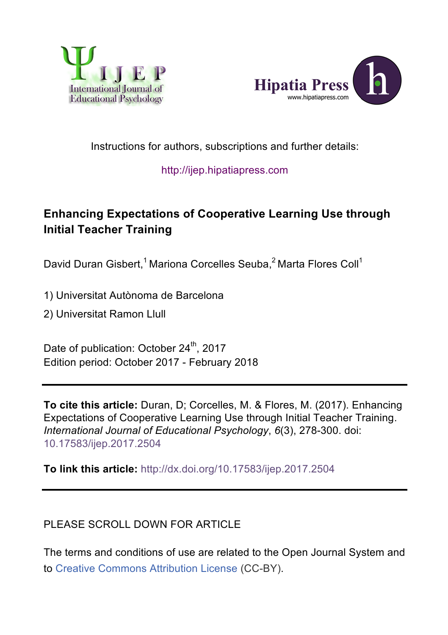



# Instructions for authors, subscriptions and further details:

#### http://ijep.hipatiapress.com

# **Enhancing Expectations of Cooperative Learning Use through Initial Teacher Training**

David Duran Gisbert,<sup>1</sup> Mariona Corcelles Seuba,<sup>2</sup> Marta Flores Coll<sup>1</sup>

1) Universitat Autònoma de Barcelona

2) Universitat Ramon Llull

Date of publication: October 24<sup>th</sup>, 2017 Edition period: October 2017 - February 2018

**To cite this article:** Duran, D; Corcelles, M. & Flores, M. (2017). Enhancing Expectations of Cooperative Learning Use through Initial Teacher Training. *International Journal of Educational Psychology*, *6*(3), 278-300. doi: 10.17583/ijep.2017.2504

**To link this article:** http://dx.doi.org/10.17583/ijep.2017.2504

#### PLEASE SCROLL DOWN FOR ARTICLE

The terms and conditions of use are related to the Open Journal System and to Creative Commons Attribution License (CC-BY).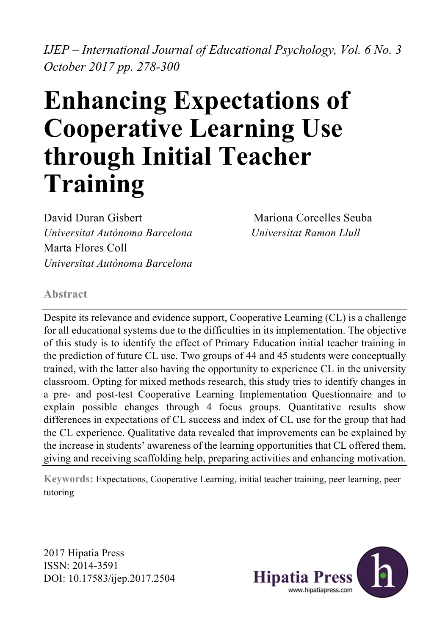*IJEP – International Journal of Educational Psychology, Vol. 6 No. 3 October 2017 pp. 278-300*

# **Enhancing Expectations of Cooperative Learning Use through Initial Teacher Training**

David Duran Gisbert Mariona Corcelles Seuba *Universitat Autònoma Barcelona Universitat Ramon Llull* Marta Flores Coll *Universitat Autònoma Barcelona*

# **Abstract**

Despite its relevance and evidence support, Cooperative Learning (CL) is a challenge for all educational systems due to the difficulties in its implementation. The objective of this study is to identify the effect of Primary Education initial teacher training in the prediction of future CL use. Two groups of 44 and 45 students were conceptually trained, with the latter also having the opportunity to experience CL in the university classroom. Opting for mixed methods research, this study tries to identify changes in a pre- and post-test Cooperative Learning Implementation Questionnaire and to explain possible changes through 4 focus groups. Quantitative results show differences in expectations of CL success and index of CL use for the group that had the CL experience. Qualitative data revealed that improvements can be explained by the increase in students' awareness of the learning opportunities that CL offered them, giving and receiving scaffolding help, preparing activities and enhancing motivation.

**Keywords:** Expectations, Cooperative Learning, initial teacher training, peer learning, peer tutoring

2017 Hipatia Press ISSN: 2014-3591 DOI: 10.17583/ijep.2017.2504

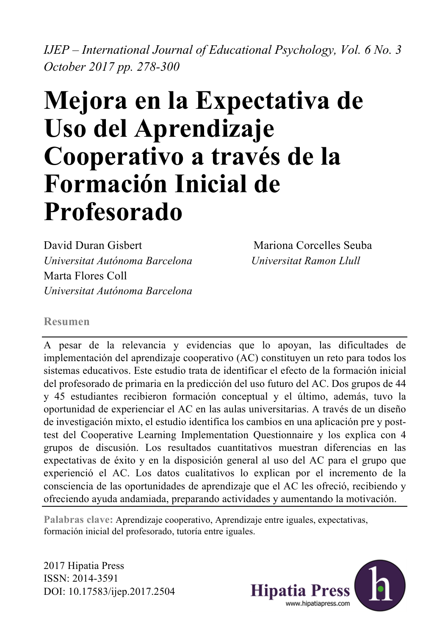*IJEP – International Journal of Educational Psychology, Vol. 6 No. 3 October 2017 pp. 278-300*

# **Mejora en la Expectativa de Uso del Aprendizaje Cooperativo a través de la Formación Inicial de Profesorado**

David Duran Gisbert Mariona Corcelles Seuba *Universitat Autónoma Barcelona Universitat Ramon Llull* Marta Flores Coll *Universitat Autónoma Barcelona*

#### **Resumen**

A pesar de la relevancia y evidencias que lo apoyan, las dificultades de implementación del aprendizaje cooperativo (AC) constituyen un reto para todos los sistemas educativos. Este estudio trata de identificar el efecto de la formación inicial del profesorado de primaria en la predicción del uso futuro del AC. Dos grupos de 44 y 45 estudiantes recibieron formación conceptual y el último, además, tuvo la oportunidad de experienciar el AC en las aulas universitarias. A través de un diseño de investigación mixto, el estudio identifica los cambios en una aplicación pre y posttest del Cooperative Learning Implementation Questionnaire y los explica con 4 grupos de discusión. Los resultados cuantitativos muestran diferencias en las expectativas de éxito y en la disposición general al uso del AC para el grupo que experienció el AC. Los datos cualitativos lo explican por el incremento de la consciencia de las oportunidades de aprendizaje que el AC les ofreció, recibiendo y ofreciendo ayuda andamiada, preparando actividades y aumentando la motivación.

**Palabras clave:** Aprendizaje cooperativo, Aprendizaje entre iguales, expectativas, formación inicial del profesorado, tutoría entre iguales.

2017 Hipatia Press ISSN: 2014-3591 DOI: 10.17583/ijep.2017.2504

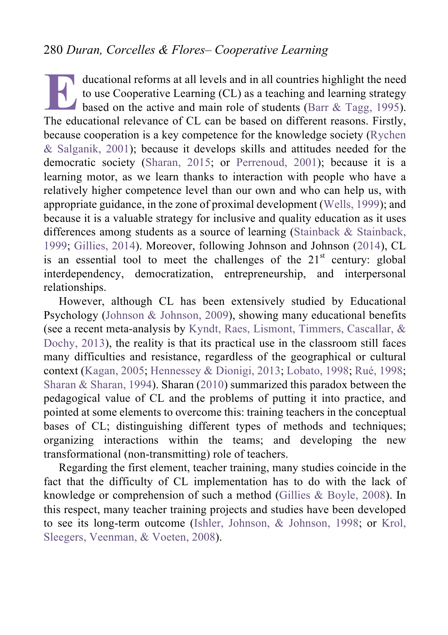ducational reforms at all levels and in all countries highlight the need to use Cooperative Learning (CL) as a teaching and learning strategy based on the active and main role of students (Barr & Tagg, 1995). ducational reforms at all levels and in all countries highlight the need<br>to use Cooperative Learning (CL) as a teaching and learning strategy<br>based on the active and main role of students (Barr & Tagg, 1995).<br>The education because cooperation is a key competence for the knowledge society (Rychen & Salganik, 2001); because it develops skills and attitudes needed for the democratic society (Sharan, 2015; or Perrenoud, 2001); because it is a learning motor, as we learn thanks to interaction with people who have a relatively higher competence level than our own and who can help us, with appropriate guidance, in the zone of proximal development (Wells, 1999); and because it is a valuable strategy for inclusive and quality education as it uses differences among students as a source of learning (Stainback & Stainback, 1999; Gillies, 2014). Moreover, following Johnson and Johnson (2014), CL is an essential tool to meet the challenges of the  $21<sup>st</sup>$  century: global interdependency, democratization, entrepreneurship, and interpersonal relationships.

However, although CL has been extensively studied by Educational Psychology (Johnson & Johnson, 2009), showing many educational benefits (see a recent meta-analysis by Kyndt, Raes, Lismont, Timmers, Cascallar, & Dochy, 2013), the reality is that its practical use in the classroom still faces many difficulties and resistance, regardless of the geographical or cultural context (Kagan, 2005; Hennessey & Dionigi, 2013; Lobato, 1998; Rué, 1998; Sharan & Sharan, 1994). Sharan (2010) summarized this paradox between the pedagogical value of CL and the problems of putting it into practice, and pointed at some elements to overcome this: training teachers in the conceptual bases of CL; distinguishing different types of methods and techniques; organizing interactions within the teams; and developing the new transformational (non-transmitting) role of teachers.

Regarding the first element, teacher training, many studies coincide in the fact that the difficulty of CL implementation has to do with the lack of knowledge or comprehension of such a method (Gillies & Boyle, 2008). In this respect, many teacher training projects and studies have been developed to see its long-term outcome (Ishler, Johnson, & Johnson, 1998; or Krol, Sleegers, Veenman, & Voeten, 2008).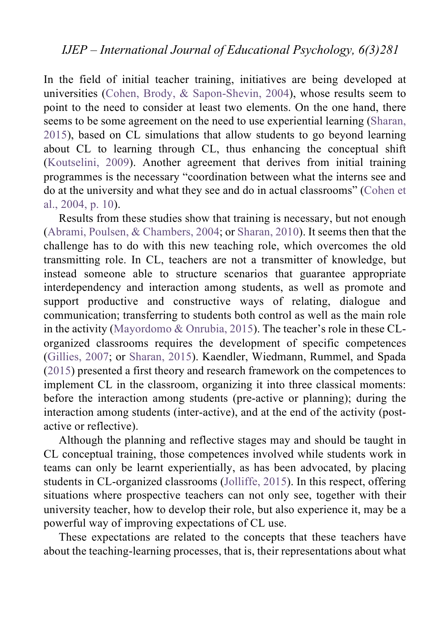In the field of initial teacher training, initiatives are being developed at universities (Cohen, Brody, & Sapon-Shevin, 2004), whose results seem to point to the need to consider at least two elements. On the one hand, there seems to be some agreement on the need to use experiential learning (Sharan, 2015), based on CL simulations that allow students to go beyond learning about CL to learning through CL, thus enhancing the conceptual shift (Koutselini, 2009). Another agreement that derives from initial training programmes is the necessary "coordination between what the interns see and do at the university and what they see and do in actual classrooms" (Cohen et al., 2004, p. 10).

Results from these studies show that training is necessary, but not enough (Abrami, Poulsen, & Chambers, 2004; or Sharan, 2010). It seems then that the challenge has to do with this new teaching role, which overcomes the old transmitting role. In CL, teachers are not a transmitter of knowledge, but instead someone able to structure scenarios that guarantee appropriate interdependency and interaction among students, as well as promote and support productive and constructive ways of relating, dialogue and communication; transferring to students both control as well as the main role in the activity (Mayordomo & Onrubia, 2015). The teacher's role in these CLorganized classrooms requires the development of specific competences (Gillies, 2007; or Sharan, 2015). Kaendler, Wiedmann, Rummel, and Spada (2015) presented a first theory and research framework on the competences to implement CL in the classroom, organizing it into three classical moments: before the interaction among students (pre-active or planning); during the interaction among students (inter-active), and at the end of the activity (postactive or reflective).

Although the planning and reflective stages may and should be taught in CL conceptual training, those competences involved while students work in teams can only be learnt experientially, as has been advocated, by placing students in CL-organized classrooms (Jolliffe, 2015). In this respect, offering situations where prospective teachers can not only see, together with their university teacher, how to develop their role, but also experience it, may be a powerful way of improving expectations of CL use.

These expectations are related to the concepts that these teachers have about the teaching-learning processes, that is, their representations about what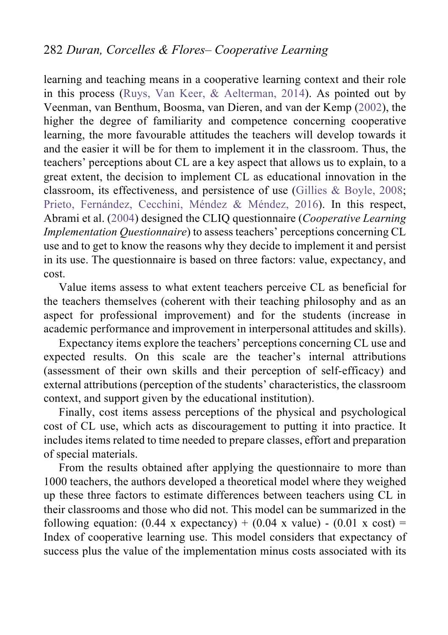learning and teaching means in a cooperative learning context and their role in this process (Ruys, Van Keer, & Aelterman, 2014). As pointed out by Veenman, van Benthum, Boosma, van Dieren, and van der Kemp (2002), the higher the degree of familiarity and competence concerning cooperative learning, the more favourable attitudes the teachers will develop towards it and the easier it will be for them to implement it in the classroom. Thus, the teachers' perceptions about CL are a key aspect that allows us to explain, to a great extent, the decision to implement CL as educational innovation in the classroom, its effectiveness, and persistence of use (Gillies & Boyle, 2008; Prieto, Fernández, Cecchini, Méndez & Méndez, 2016). In this respect, Abrami et al. (2004) designed the CLIQ questionnaire (*Cooperative Learning Implementation Questionnaire*) to assess teachers' perceptions concerning CL use and to get to know the reasons why they decide to implement it and persist in its use. The questionnaire is based on three factors: value, expectancy, and cost.

Value items assess to what extent teachers perceive CL as beneficial for the teachers themselves (coherent with their teaching philosophy and as an aspect for professional improvement) and for the students (increase in academic performance and improvement in interpersonal attitudes and skills).

Expectancy items explore the teachers' perceptions concerning CL use and expected results. On this scale are the teacher's internal attributions (assessment of their own skills and their perception of self-efficacy) and external attributions (perception of the students' characteristics, the classroom context, and support given by the educational institution).

Finally, cost items assess perceptions of the physical and psychological cost of CL use, which acts as discouragement to putting it into practice. It includes items related to time needed to prepare classes, effort and preparation of special materials.

From the results obtained after applying the questionnaire to more than 1000 teachers, the authors developed a theoretical model where they weighed up these three factors to estimate differences between teachers using CL in their classrooms and those who did not. This model can be summarized in the following equation:  $(0.44 \times \text{expectancy}) + (0.04 \times \text{value}) - (0.01 \times \text{cost}) =$ Index of cooperative learning use. This model considers that expectancy of success plus the value of the implementation minus costs associated with its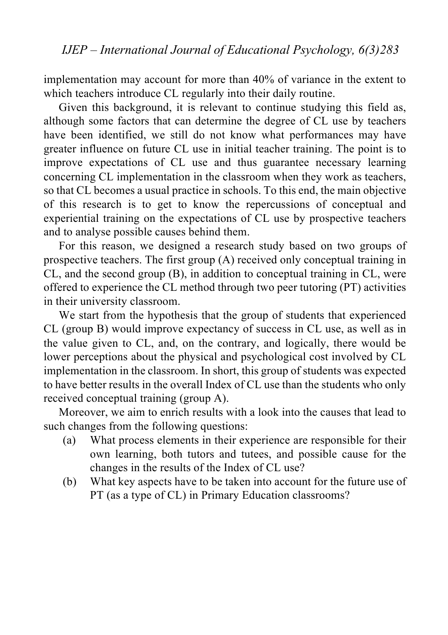implementation may account for more than 40% of variance in the extent to which teachers introduce CL regularly into their daily routine.

Given this background, it is relevant to continue studying this field as, although some factors that can determine the degree of CL use by teachers have been identified, we still do not know what performances may have greater influence on future CL use in initial teacher training. The point is to improve expectations of CL use and thus guarantee necessary learning concerning CL implementation in the classroom when they work as teachers, so that CL becomes a usual practice in schools. To this end, the main objective of this research is to get to know the repercussions of conceptual and experiential training on the expectations of CL use by prospective teachers and to analyse possible causes behind them.

For this reason, we designed a research study based on two groups of prospective teachers. The first group (A) received only conceptual training in CL, and the second group (B), in addition to conceptual training in CL, were offered to experience the CL method through two peer tutoring (PT) activities in their university classroom.

We start from the hypothesis that the group of students that experienced CL (group B) would improve expectancy of success in CL use, as well as in the value given to CL, and, on the contrary, and logically, there would be lower perceptions about the physical and psychological cost involved by CL implementation in the classroom. In short, this group of students was expected to have better results in the overall Index of CL use than the students who only received conceptual training (group A).

Moreover, we aim to enrich results with a look into the causes that lead to such changes from the following questions:

- (a) What process elements in their experience are responsible for their own learning, both tutors and tutees, and possible cause for the changes in the results of the Index of CL use?
- (b) What key aspects have to be taken into account for the future use of PT (as a type of CL) in Primary Education classrooms?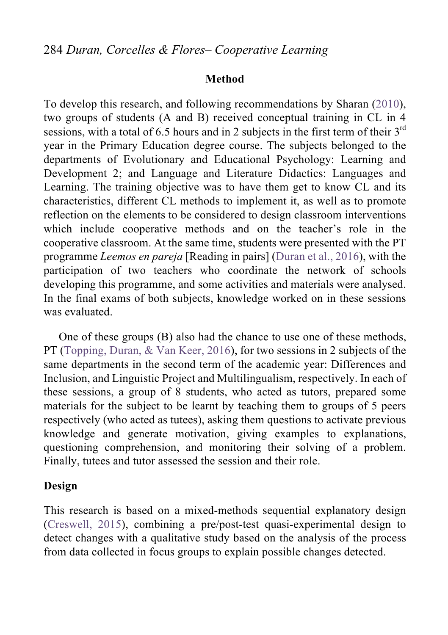#### **Method**

To develop this research, and following recommendations by Sharan (2010), two groups of students (A and B) received conceptual training in CL in 4 sessions, with a total of 6.5 hours and in 2 subjects in the first term of their  $3<sup>rd</sup>$ year in the Primary Education degree course. The subjects belonged to the departments of Evolutionary and Educational Psychology: Learning and Development 2; and Language and Literature Didactics: Languages and Learning. The training objective was to have them get to know CL and its characteristics, different CL methods to implement it, as well as to promote reflection on the elements to be considered to design classroom interventions which include cooperative methods and on the teacher's role in the cooperative classroom. At the same time, students were presented with the PT programme *Leemos en pareja* [Reading in pairs] (Duran et al., 2016), with the participation of two teachers who coordinate the network of schools developing this programme, and some activities and materials were analysed. In the final exams of both subjects, knowledge worked on in these sessions was evaluated.

One of these groups (B) also had the chance to use one of these methods, PT (Topping, Duran, & Van Keer, 2016), for two sessions in 2 subjects of the same departments in the second term of the academic year: Differences and Inclusion, and Linguistic Project and Multilingualism, respectively. In each of these sessions, a group of 8 students, who acted as tutors, prepared some materials for the subject to be learnt by teaching them to groups of 5 peers respectively (who acted as tutees), asking them questions to activate previous knowledge and generate motivation, giving examples to explanations, questioning comprehension, and monitoring their solving of a problem. Finally, tutees and tutor assessed the session and their role.

#### **Design**

This research is based on a mixed-methods sequential explanatory design (Creswell, 2015), combining a pre/post-test quasi-experimental design to detect changes with a qualitative study based on the analysis of the process from data collected in focus groups to explain possible changes detected.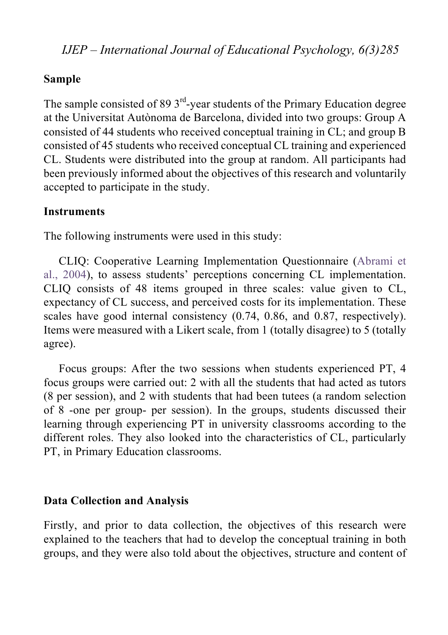#### **Sample**

The sample consisted of 89  $3<sup>rd</sup>$ -year students of the Primary Education degree at the Universitat Autònoma de Barcelona, divided into two groups: Group A consisted of 44 students who received conceptual training in CL; and group B consisted of 45 students who received conceptual CL training and experienced CL. Students were distributed into the group at random. All participants had been previously informed about the objectives of this research and voluntarily accepted to participate in the study.

#### **Instruments**

The following instruments were used in this study:

CLIQ: Cooperative Learning Implementation Questionnaire (Abrami et al., 2004), to assess students' perceptions concerning CL implementation. CLIQ consists of 48 items grouped in three scales: value given to CL, expectancy of CL success, and perceived costs for its implementation. These scales have good internal consistency (0.74, 0.86, and 0.87, respectively). Items were measured with a Likert scale, from 1 (totally disagree) to 5 (totally agree).

Focus groups: After the two sessions when students experienced PT, 4 focus groups were carried out: 2 with all the students that had acted as tutors (8 per session), and 2 with students that had been tutees (a random selection of 8 -one per group- per session). In the groups, students discussed their learning through experiencing PT in university classrooms according to the different roles. They also looked into the characteristics of CL, particularly PT, in Primary Education classrooms.

#### **Data Collection and Analysis**

Firstly, and prior to data collection, the objectives of this research were explained to the teachers that had to develop the conceptual training in both groups, and they were also told about the objectives, structure and content of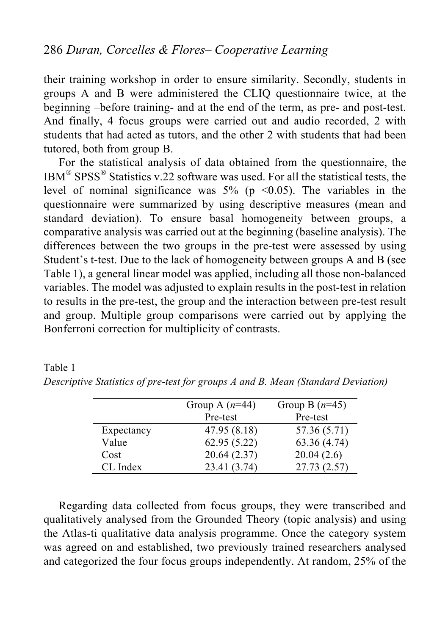their training workshop in order to ensure similarity. Secondly, students in groups A and B were administered the CLIQ questionnaire twice, at the beginning –before training- and at the end of the term, as pre- and post-test. And finally, 4 focus groups were carried out and audio recorded, 2 with students that had acted as tutors, and the other 2 with students that had been tutored, both from group B.

For the statistical analysis of data obtained from the questionnaire, the IBM<sup>®</sup> SPSS<sup>®</sup> Statistics v.22 software was used. For all the statistical tests, the level of nominal significance was  $5\%$  (p <0.05). The variables in the questionnaire were summarized by using descriptive measures (mean and standard deviation). To ensure basal homogeneity between groups, a comparative analysis was carried out at the beginning (baseline analysis). The differences between the two groups in the pre-test were assessed by using Student's t-test. Due to the lack of homogeneity between groups A and B (see Table 1), a general linear model was applied, including all those non-balanced variables. The model was adjusted to explain results in the post-test in relation to results in the pre-test, the group and the interaction between pre-test result and group. Multiple group comparisons were carried out by applying the Bonferroni correction for multiplicity of contrasts.

|            | Group A $(n=44)$ | Group B $(n=45)$ |
|------------|------------------|------------------|
|            | Pre-test         | Pre-test         |
| Expectancy | 47.95 (8.18)     | 57.36 (5.71)     |
| Value      | 62.95(5.22)      | 63.36 (4.74)     |
| Cost       | 20.64(2.37)      | 20.04(2.6)       |
| CL Index   | 23.41 (3.74)     | 27.73 (2.57)     |

|  |  |  |  |  | Descriptive Statistics of pre-test for groups A and B. Mean (Standard Deviation) |  |
|--|--|--|--|--|----------------------------------------------------------------------------------|--|
|  |  |  |  |  |                                                                                  |  |

Table 1

Regarding data collected from focus groups, they were transcribed and qualitatively analysed from the Grounded Theory (topic analysis) and using the Atlas-ti qualitative data analysis programme. Once the category system was agreed on and established, two previously trained researchers analysed and categorized the four focus groups independently. At random, 25% of the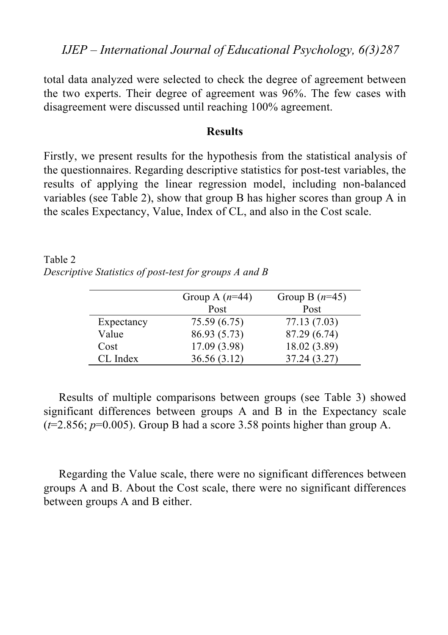*IJEP – International Journal of Educational Psychology, 6(3)287*

total data analyzed were selected to check the degree of agreement between the two experts. Their degree of agreement was 96%. The few cases with disagreement were discussed until reaching 100% agreement.

#### **Results**

Firstly, we present results for the hypothesis from the statistical analysis of the questionnaires. Regarding descriptive statistics for post-test variables, the results of applying the linear regression model, including non-balanced variables (see Table 2), show that group B has higher scores than group A in the scales Expectancy, Value, Index of CL, and also in the Cost scale.

Table 2 *Descriptive Statistics of post-test for groups A and B*

|            | Group A $(n=44)$ | Group B $(n=45)$ |
|------------|------------------|------------------|
|            | Post             | Post             |
| Expectancy | 75.59 (6.75)     | 77.13 (7.03)     |
| Value      | 86.93 (5.73)     | 87.29 (6.74)     |
| Cost       | 17.09 (3.98)     | 18.02 (3.89)     |
| CL Index   | 36.56 (3.12)     | 37.24 (3.27)     |

Results of multiple comparisons between groups (see Table 3) showed significant differences between groups A and B in the Expectancy scale  $(t=2.856; p=0.005)$ . Group B had a score 3.58 points higher than group A.

Regarding the Value scale, there were no significant differences between groups A and B. About the Cost scale, there were no significant differences between groups A and B either.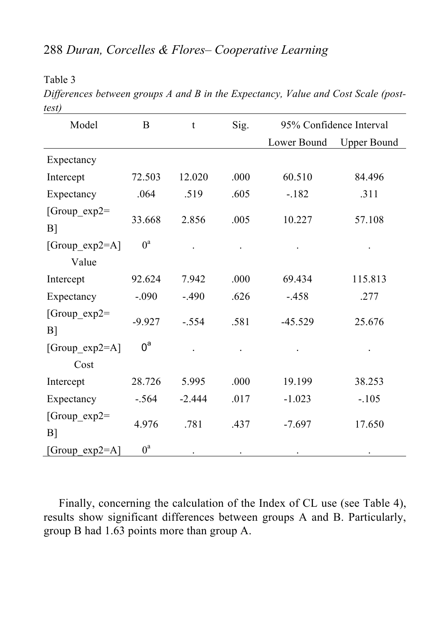Table 3

*Differences between groups A and B in the Expectancy, Value and Cost Scale (posttest)*

| Model                    | Sig.<br>95% Confidence Interval<br>B<br>t |          |      |             |                    |
|--------------------------|-------------------------------------------|----------|------|-------------|--------------------|
|                          |                                           |          |      | Lower Bound | <b>Upper Bound</b> |
| Expectancy               |                                           |          |      |             |                    |
| Intercept                | 72.503                                    | 12.020   | .000 | 60.510      | 84.496             |
| Expectancy               | .064                                      | .519     | .605 | $-182$      | .311               |
| $[Group\_exp2=$<br>$B$ ] | 33.668                                    | 2.856    | .005 | 10.227      | 57.108             |
| [Group_exp2=A]           | $0^a$                                     |          |      |             |                    |
| Value                    |                                           |          |      |             |                    |
| Intercept                | 92.624                                    | 7.942    | .000 | 69.434      | 115.813            |
| Expectancy               | $-.090$                                   | $-.490$  | .626 | $-.458$     | .277               |
| $[Group\_exp2=$<br>B]    | $-9.927$                                  | $-.554$  | .581 | $-45.529$   | 25.676             |
| [Group_exp2=A]           | $0^a$                                     |          |      |             |                    |
| Cost                     |                                           |          |      |             |                    |
| Intercept                | 28.726                                    | 5.995    | .000 | 19.199      | 38.253             |
| Expectancy               | $-.564$                                   | $-2.444$ | .017 | $-1.023$    | $-.105$            |
| [Group_exp2=<br>$B$ ]    | 4.976                                     | .781     | .437 | $-7.697$    | 17.650             |
| [Group exp2=A]           | $0^a$                                     |          |      |             |                    |

Finally, concerning the calculation of the Index of CL use (see Table 4), results show significant differences between groups A and B. Particularly, group B had 1.63 points more than group A.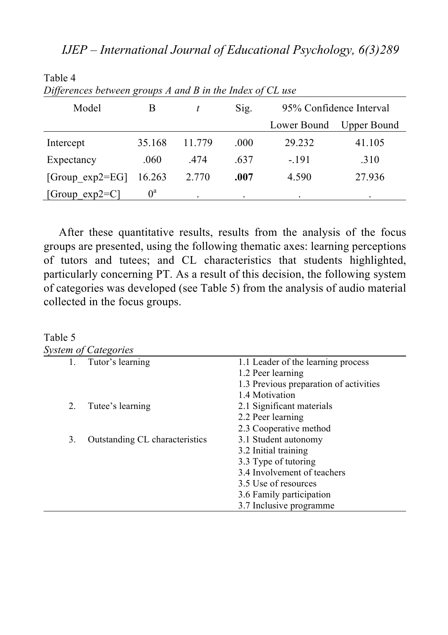| Differences between groups A and B in the Index of CL use |             |        |      |                         |             |  |
|-----------------------------------------------------------|-------------|--------|------|-------------------------|-------------|--|
| Model                                                     | В           |        | Sig. | 95% Confidence Interval |             |  |
|                                                           |             |        |      | Lower Bound             | Upper Bound |  |
| Intercept                                                 | 35.168      | 11 779 | .000 | 29.232                  | 41.105      |  |
| Expectancy                                                | .060        | .474   | .637 | $-191$                  | .310        |  |
| [Group $exp2=EG$ ]                                        | 16.263      | 2.770  | .007 | 4.590                   | 27.936      |  |
| $ Group \exp2=C $                                         | $0^{\rm a}$ | ۰      | ٠    |                         | ۰           |  |

Table 4

After these quantitative results, results from the analysis of the focus groups are presented, using the following thematic axes: learning perceptions of tutors and tutees; and CL characteristics that students highlighted, particularly concerning PT. As a result of this decision, the following system of categories was developed (see Table 5) from the analysis of audio material collected in the focus groups.

# Table 5

Ē,

|    | System of Categories           |                                        |
|----|--------------------------------|----------------------------------------|
| 1. | Tutor's learning               | 1.1 Leader of the learning process     |
|    |                                | 1.2 Peer learning                      |
|    |                                | 1.3 Previous preparation of activities |
|    |                                | 1.4 Motivation                         |
| 2. | Tutee's learning               | 2.1 Significant materials              |
|    |                                | 2.2 Peer learning                      |
|    |                                | 2.3 Cooperative method                 |
| 3. | Outstanding CL characteristics | 3.1 Student autonomy                   |
|    |                                | 3.2 Initial training                   |
|    |                                | 3.3 Type of tutoring                   |
|    |                                | 3.4 Involvement of teachers            |
|    |                                | 3.5 Use of resources                   |
|    |                                | 3.6 Family participation               |
|    |                                | 3.7 Inclusive programme                |
|    |                                |                                        |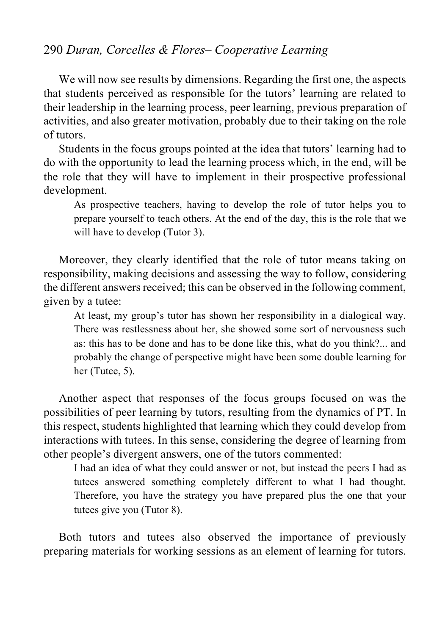We will now see results by dimensions. Regarding the first one, the aspects that students perceived as responsible for the tutors' learning are related to their leadership in the learning process, peer learning, previous preparation of activities, and also greater motivation, probably due to their taking on the role of tutors.

Students in the focus groups pointed at the idea that tutors' learning had to do with the opportunity to lead the learning process which, in the end, will be the role that they will have to implement in their prospective professional development.

As prospective teachers, having to develop the role of tutor helps you to prepare yourself to teach others. At the end of the day, this is the role that we will have to develop (Tutor 3).

Moreover, they clearly identified that the role of tutor means taking on responsibility, making decisions and assessing the way to follow, considering the different answers received; this can be observed in the following comment, given by a tutee:

At least, my group's tutor has shown her responsibility in a dialogical way. There was restlessness about her, she showed some sort of nervousness such as: this has to be done and has to be done like this, what do you think?... and probably the change of perspective might have been some double learning for her (Tutee, 5).

Another aspect that responses of the focus groups focused on was the possibilities of peer learning by tutors, resulting from the dynamics of PT. In this respect, students highlighted that learning which they could develop from interactions with tutees. In this sense, considering the degree of learning from other people's divergent answers, one of the tutors commented:

I had an idea of what they could answer or not, but instead the peers I had as tutees answered something completely different to what I had thought. Therefore, you have the strategy you have prepared plus the one that your tutees give you (Tutor 8).

Both tutors and tutees also observed the importance of previously preparing materials for working sessions as an element of learning for tutors.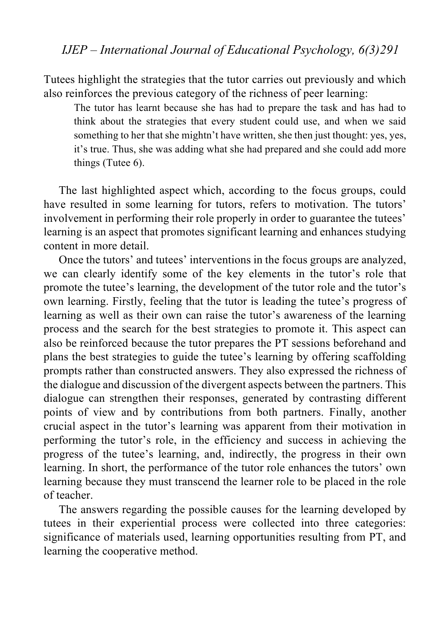Tutees highlight the strategies that the tutor carries out previously and which also reinforces the previous category of the richness of peer learning:

The tutor has learnt because she has had to prepare the task and has had to think about the strategies that every student could use, and when we said something to her that she mightn't have written, she then just thought: yes, yes, it's true. Thus, she was adding what she had prepared and she could add more things (Tutee 6).

The last highlighted aspect which, according to the focus groups, could have resulted in some learning for tutors, refers to motivation. The tutors' involvement in performing their role properly in order to guarantee the tutees' learning is an aspect that promotes significant learning and enhances studying content in more detail.

Once the tutors' and tutees' interventions in the focus groups are analyzed, we can clearly identify some of the key elements in the tutor's role that promote the tutee's learning, the development of the tutor role and the tutor's own learning. Firstly, feeling that the tutor is leading the tutee's progress of learning as well as their own can raise the tutor's awareness of the learning process and the search for the best strategies to promote it. This aspect can also be reinforced because the tutor prepares the PT sessions beforehand and plans the best strategies to guide the tutee's learning by offering scaffolding prompts rather than constructed answers. They also expressed the richness of the dialogue and discussion of the divergent aspects between the partners. This dialogue can strengthen their responses, generated by contrasting different points of view and by contributions from both partners. Finally, another crucial aspect in the tutor's learning was apparent from their motivation in performing the tutor's role, in the efficiency and success in achieving the progress of the tutee's learning, and, indirectly, the progress in their own learning. In short, the performance of the tutor role enhances the tutors' own learning because they must transcend the learner role to be placed in the role of teacher.

The answers regarding the possible causes for the learning developed by tutees in their experiential process were collected into three categories: significance of materials used, learning opportunities resulting from PT, and learning the cooperative method.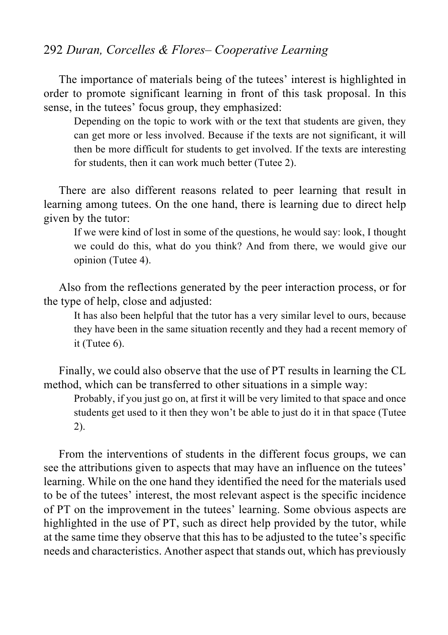The importance of materials being of the tutees' interest is highlighted in order to promote significant learning in front of this task proposal. In this sense, in the tutees' focus group, they emphasized:

Depending on the topic to work with or the text that students are given, they can get more or less involved. Because if the texts are not significant, it will then be more difficult for students to get involved. If the texts are interesting for students, then it can work much better (Tutee 2).

There are also different reasons related to peer learning that result in learning among tutees. On the one hand, there is learning due to direct help given by the tutor:

If we were kind of lost in some of the questions, he would say: look, I thought we could do this, what do you think? And from there, we would give our opinion (Tutee 4).

Also from the reflections generated by the peer interaction process, or for the type of help, close and adjusted:

It has also been helpful that the tutor has a very similar level to ours, because they have been in the same situation recently and they had a recent memory of it (Tutee 6).

Finally, we could also observe that the use of PT results in learning the CL method, which can be transferred to other situations in a simple way:

Probably, if you just go on, at first it will be very limited to that space and once students get used to it then they won't be able to just do it in that space (Tutee 2).

From the interventions of students in the different focus groups, we can see the attributions given to aspects that may have an influence on the tutees' learning. While on the one hand they identified the need for the materials used to be of the tutees' interest, the most relevant aspect is the specific incidence of PT on the improvement in the tutees' learning. Some obvious aspects are highlighted in the use of PT, such as direct help provided by the tutor, while at the same time they observe that this has to be adjusted to the tutee's specific needs and characteristics. Another aspect that stands out, which has previously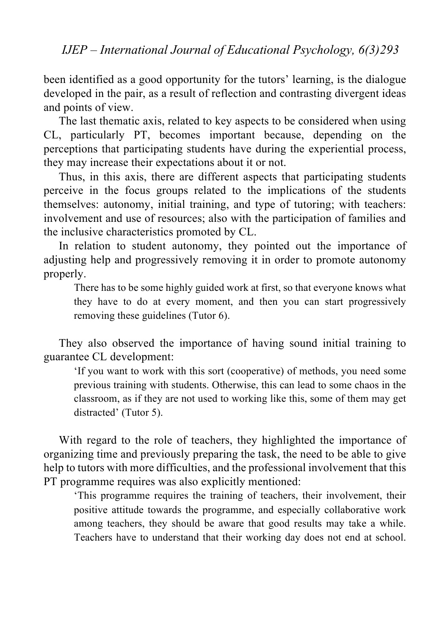been identified as a good opportunity for the tutors' learning, is the dialogue developed in the pair, as a result of reflection and contrasting divergent ideas and points of view.

The last thematic axis, related to key aspects to be considered when using CL, particularly PT, becomes important because, depending on the perceptions that participating students have during the experiential process, they may increase their expectations about it or not.

Thus, in this axis, there are different aspects that participating students perceive in the focus groups related to the implications of the students themselves: autonomy, initial training, and type of tutoring; with teachers: involvement and use of resources; also with the participation of families and the inclusive characteristics promoted by CL.

In relation to student autonomy, they pointed out the importance of adjusting help and progressively removing it in order to promote autonomy properly.

There has to be some highly guided work at first, so that everyone knows what they have to do at every moment, and then you can start progressively removing these guidelines (Tutor 6).

They also observed the importance of having sound initial training to guarantee CL development:

'If you want to work with this sort (cooperative) of methods, you need some previous training with students. Otherwise, this can lead to some chaos in the classroom, as if they are not used to working like this, some of them may get distracted' (Tutor 5).

With regard to the role of teachers, they highlighted the importance of organizing time and previously preparing the task, the need to be able to give help to tutors with more difficulties, and the professional involvement that this PT programme requires was also explicitly mentioned:

'This programme requires the training of teachers, their involvement, their positive attitude towards the programme, and especially collaborative work among teachers, they should be aware that good results may take a while. Teachers have to understand that their working day does not end at school.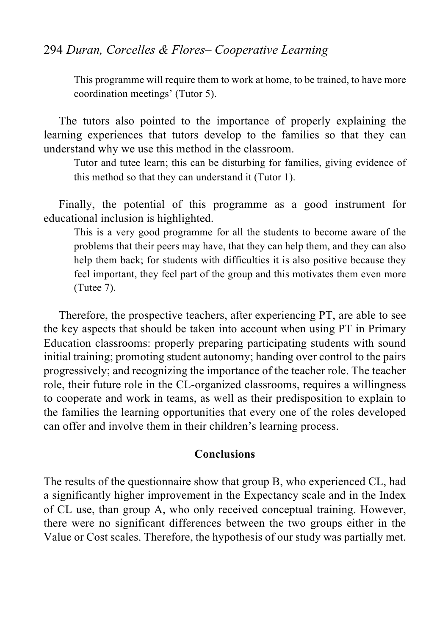This programme will require them to work at home, to be trained, to have more coordination meetings' (Tutor 5).

The tutors also pointed to the importance of properly explaining the learning experiences that tutors develop to the families so that they can understand why we use this method in the classroom.

Tutor and tutee learn; this can be disturbing for families, giving evidence of this method so that they can understand it (Tutor 1).

Finally, the potential of this programme as a good instrument for educational inclusion is highlighted.

This is a very good programme for all the students to become aware of the problems that their peers may have, that they can help them, and they can also help them back; for students with difficulties it is also positive because they feel important, they feel part of the group and this motivates them even more (Tutee 7).

Therefore, the prospective teachers, after experiencing PT, are able to see the key aspects that should be taken into account when using PT in Primary Education classrooms: properly preparing participating students with sound initial training; promoting student autonomy; handing over control to the pairs progressively; and recognizing the importance of the teacher role. The teacher role, their future role in the CL-organized classrooms, requires a willingness to cooperate and work in teams, as well as their predisposition to explain to the families the learning opportunities that every one of the roles developed can offer and involve them in their children's learning process.

#### **Conclusions**

The results of the questionnaire show that group B, who experienced CL, had a significantly higher improvement in the Expectancy scale and in the Index of CL use, than group A, who only received conceptual training. However, there were no significant differences between the two groups either in the Value or Cost scales. Therefore, the hypothesis of our study was partially met.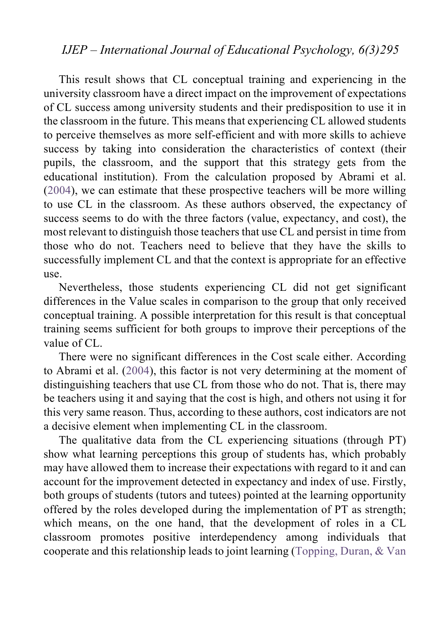## *IJEP – International Journal of Educational Psychology, 6(3)295*

This result shows that CL conceptual training and experiencing in the university classroom have a direct impact on the improvement of expectations of CL success among university students and their predisposition to use it in the classroom in the future. This means that experiencing CL allowed students to perceive themselves as more self-efficient and with more skills to achieve success by taking into consideration the characteristics of context (their pupils, the classroom, and the support that this strategy gets from the educational institution). From the calculation proposed by Abrami et al. (2004), we can estimate that these prospective teachers will be more willing to use CL in the classroom. As these authors observed, the expectancy of success seems to do with the three factors (value, expectancy, and cost), the most relevant to distinguish those teachers that use CL and persist in time from those who do not. Teachers need to believe that they have the skills to successfully implement CL and that the context is appropriate for an effective use.

Nevertheless, those students experiencing CL did not get significant differences in the Value scales in comparison to the group that only received conceptual training. A possible interpretation for this result is that conceptual training seems sufficient for both groups to improve their perceptions of the value of CL.

There were no significant differences in the Cost scale either. According to Abrami et al. (2004), this factor is not very determining at the moment of distinguishing teachers that use CL from those who do not. That is, there may be teachers using it and saying that the cost is high, and others not using it for this very same reason. Thus, according to these authors, cost indicators are not a decisive element when implementing CL in the classroom.

The qualitative data from the CL experiencing situations (through PT) show what learning perceptions this group of students has, which probably may have allowed them to increase their expectations with regard to it and can account for the improvement detected in expectancy and index of use. Firstly, both groups of students (tutors and tutees) pointed at the learning opportunity offered by the roles developed during the implementation of PT as strength; which means, on the one hand, that the development of roles in a CL classroom promotes positive interdependency among individuals that cooperate and this relationship leads to joint learning (Topping, Duran, & Van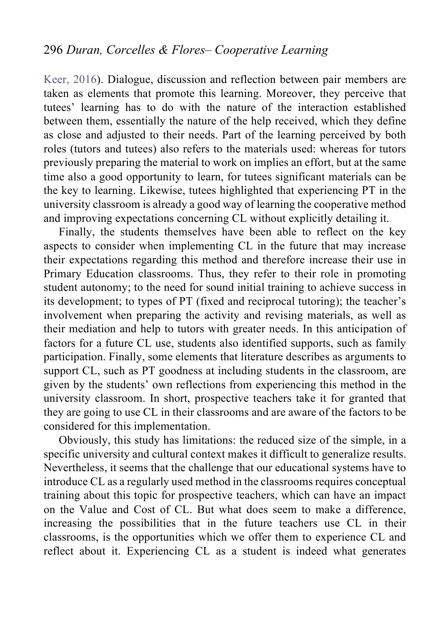Keer, 2016). Dialogue, discussion and reflection between pair members are taken as elements that promote this learning. Moreover, they perceive that tutees' learning has to do with the nature of the interaction established between them, essentially the nature of the help received, which they define as close and adjusted to their needs. Part of the learning perceived by both roles (tutors and tutees) also refers to the materials used: whereas for tutors previously preparing the material to work on implies an effort, but at the same time also a good opportunity to learn, for tutees significant materials can be the key to learning. Likewise, tutees highlighted that experiencing PT in the university classroom is already a good way of learning the cooperative method and improving expectations concerning CL without explicitly detailing it.

Finally, the students themselves have been able to reflect on the key aspects to consider when implementing CL in the future that may increase their expectations regarding this method and therefore increase their use in Primary Education classrooms. Thus, they refer to their role in promoting student autonomy; to the need for sound initial training to achieve success in its development; to types of PT (fixed and reciprocal tutoring); the teacher's involvement when preparing the activity and revising materials, as well as their mediation and help to tutors with greater needs. In this anticipation of factors for a future CL use, students also identified supports, such as family participation. Finally, some elements that literature describes as arguments to support CL, such as PT goodness at including students in the classroom, are given by the students' own reflections from experiencing this method in the university classroom. In short, prospective teachers take it for granted that they are going to use CL in their classrooms and are aware of the factors to be considered for this implementation.

Obviously, this study has limitations: the reduced size of the simple, in a specific university and cultural context makes it difficult to generalize results. Nevertheless, it seems that the challenge that our educational systems have to introduce CL as a regularly used method in the classrooms requires conceptual training about this topic for prospective teachers, which can have an impact on the Value and Cost of CL. But what does seem to make a difference, increasing the possibilities that in the future teachers use CL in their classrooms, is the opportunities which we offer them to experience CL and reflect about it. Experiencing CL as a student is indeed what generates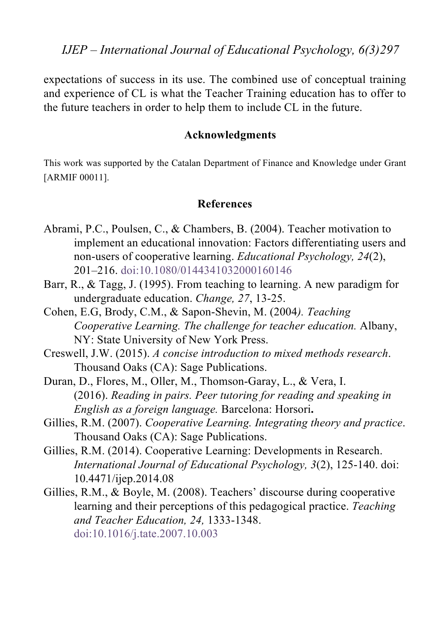*IJEP – International Journal of Educational Psychology, 6(3)297*

expectations of success in its use. The combined use of conceptual training and experience of CL is what the Teacher Training education has to offer to the future teachers in order to help them to include CL in the future.

#### **Acknowledgments**

This work was supported by the Catalan Department of Finance and Knowledge under Grant [ARMIF 00011].

#### **References**

- Abrami, P.C., Poulsen, C., & Chambers, B. (2004). Teacher motivation to implement an educational innovation: Factors differentiating users and non-users of cooperative learning. *Educational Psychology, 24*(2), 201–216. doi:10.1080/0144341032000160146
- Barr, R., & Tagg, J. (1995). From teaching to learning. A new paradigm for undergraduate education. *Change, 27*, 13-25.
- Cohen, E.G, Brody, C.M., & Sapon-Shevin, M. (2004*). Teaching Cooperative Learning. The challenge for teacher education.* Albany, NY: State University of New York Press.
- Creswell, J.W. (2015). *A concise introduction to mixed methods research*. Thousand Oaks (CA): Sage Publications.
- Duran, D., Flores, M., Oller, M., Thomson-Garay, L., & Vera, I. (2016). *Reading in pairs. Peer tutoring for reading and speaking in English as a foreign language.* Barcelona: Horsori**.**
- Gillies, R.M. (2007). *Cooperative Learning. Integrating theory and practice*. Thousand Oaks (CA): Sage Publications.
- Gillies, R.M. (2014). Cooperative Learning: Developments in Research. *International Journal of Educational Psychology, 3*(2), 125-140. doi: 10.4471/ijep.2014.08
- Gillies, R.M., & Boyle, M. (2008). Teachers' discourse during cooperative learning and their perceptions of this pedagogical practice. *Teaching and Teacher Education, 24,* 1333-1348. doi:10.1016/j.tate.2007.10.003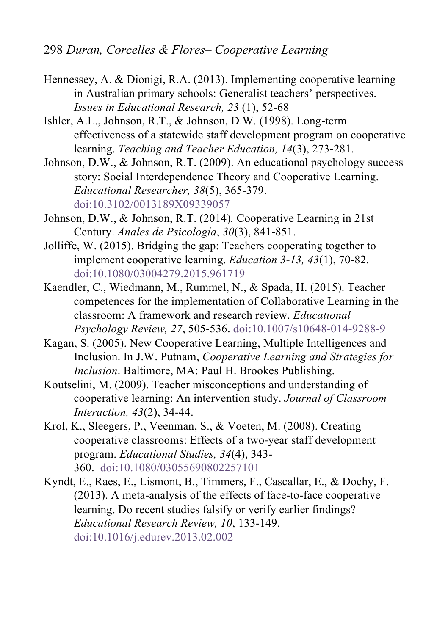- Hennessey, A. & Dionigi, R.A. (2013). Implementing cooperative learning in Australian primary schools: Generalist teachers' perspectives. *Issues in Educational Research, 23* (1), 52-68
- Ishler, A.L., Johnson, R.T., & Johnson, D.W. (1998). Long-term effectiveness of a statewide staff development program on cooperative learning. *Teaching and Teacher Education, 14*(3), 273-281.
- Johnson, D.W., & Johnson, R.T. (2009). An educational psychology success story: Social Interdependence Theory and Cooperative Learning. *Educational Researcher, 38*(5), 365-379. doi:10.3102/0013189X09339057
- Johnson, D.W., & Johnson, R.T. (2014)*.* Cooperative Learning in 21st Century. *Anales de Psicología*, *30*(3), 841-851.
- Jolliffe, W. (2015). Bridging the gap: Teachers cooperating together to implement cooperative learning. *Education 3-13, 43*(1), 70-82. doi:10.1080/03004279.2015.961719
- Kaendler, C., Wiedmann, M., Rummel, N., & Spada, H. (2015). Teacher competences for the implementation of Collaborative Learning in the classroom: A framework and research review. *Educational Psychology Review, 27*, 505-536. doi:10.1007/s10648-014-9288-9
- Kagan, S. (2005). New Cooperative Learning, Multiple Intelligences and Inclusion. In J.W. Putnam, *Cooperative Learning and Strategies for Inclusion*. Baltimore, MA: Paul H. Brookes Publishing.
- Koutselini, M. (2009). Teacher misconceptions and understanding of cooperative learning: An intervention study. *Journal of Classroom Interaction, 43*(2), 34-44.
- Krol, K., Sleegers, P., Veenman, S., & Voeten, M. (2008). Creating cooperative classrooms: Effects of a two-year staff development program. *Educational Studies, 34*(4), 343- 360. doi:10.1080/03055690802257101
- Kyndt, E., Raes, E., Lismont, B., Timmers, F., Cascallar, E., & Dochy, F. (2013). A meta-analysis of the effects of face-to-face cooperative learning. Do recent studies falsify or verify earlier findings? *Educational Research Review, 10*, 133-149. doi:10.1016/j.edurev.2013.02.002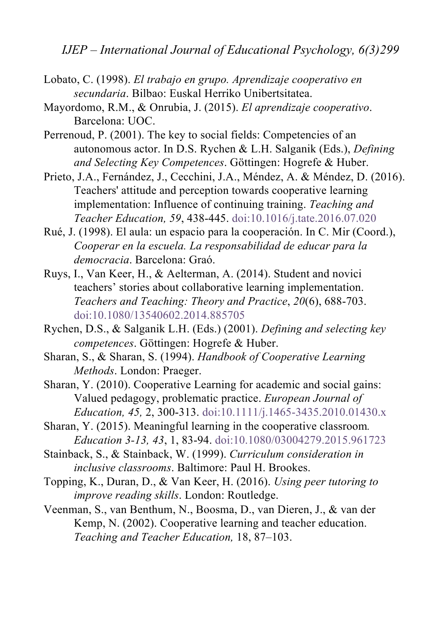*IJEP – International Journal of Educational Psychology, 6(3)299*

- Lobato, C. (1998). *El trabajo en grupo. Aprendizaje cooperativo en secundaria*. Bilbao: Euskal Herriko Unibertsitatea.
- Mayordomo, R.M., & Onrubia, J. (2015). *El aprendizaje cooperativo*. Barcelona: UOC.
- Perrenoud, P. (2001). The key to social fields: Competencies of an autonomous actor. In D.S. Rychen & L.H. Salganik (Eds.), *Defining and Selecting Key Competences*. Göttingen: Hogrefe & Huber.
- Prieto, J.A., Fernández, J., Cecchini, J.A., Méndez, A. & Méndez, D. (2016). Teachers' attitude and perception towards cooperative learning implementation: Influence of continuing training. *Teaching and Teacher Education, 59*, 438-445. doi:10.1016/j.tate.2016.07.020
- Rué, J. (1998). El aula: un espacio para la cooperación. In C. Mir (Coord.), *Cooperar en la escuela. La responsabilidad de educar para la democracia*. Barcelona: Graó.
- Ruys, I., Van Keer, H., & Aelterman, A. (2014). Student and novici teachers' stories about collaborative learning implementation. *Teachers and Teaching: Theory and Practice*, *20*(6), 688-703. doi:10.1080/13540602.2014.885705
- Rychen, D.S., & Salganik L.H. (Eds.) (2001). *Defining and selecting key competences*. Göttingen: Hogrefe & Huber.
- Sharan, S., & Sharan, S. (1994). *Handbook of Cooperative Learning Methods*. London: Praeger.
- Sharan, Y. (2010). Cooperative Learning for academic and social gains: Valued pedagogy, problematic practice. *European Journal of Education, 45,* 2, 300-313. doi:10.1111/j.1465-3435.2010.01430.x
- Sharan, Y. (2015). Meaningful learning in the cooperative classroom*. Education 3-13, 43*, 1, 83-94. doi:10.1080/03004279.2015.961723
- Stainback, S., & Stainback, W. (1999). *Curriculum consideration in inclusive classrooms*. Baltimore: Paul H. Brookes.
- Topping, K., Duran, D., & Van Keer, H. (2016). *Using peer tutoring to improve reading skills*. London: Routledge.
- Veenman, S., van Benthum, N., Boosma, D., van Dieren, J., & van der Kemp, N. (2002). Cooperative learning and teacher education. *Teaching and Teacher Education,* 18, 87–103.